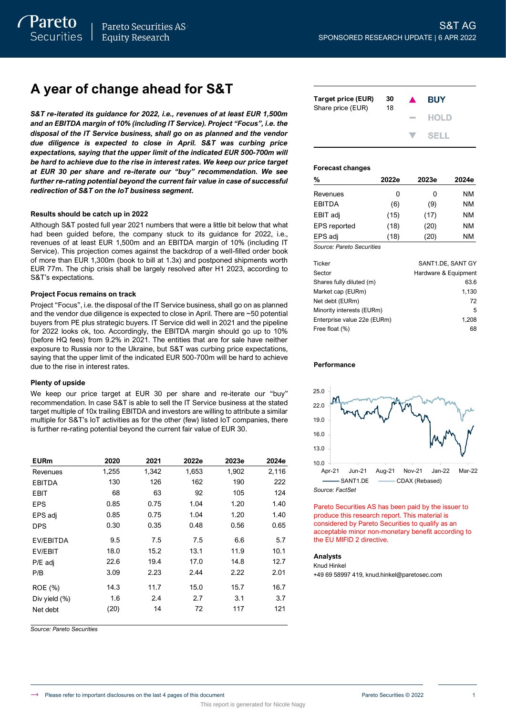# **A year of change ahead for S&T**

S&T re-iterated its guidance for 2022, i.e., revenues of at least EUR 1,500m *and an EBITDA margin of 10% (including IT Service). Project "Focus", i.e. the disposal of the IT Service business, shall go on as planned and the vendor due diligence is expected to close in April. S&T was curbing price expectations, saying that the upper limit of the indicated EUR 500-700m will be hard to achieve due to the rise in interest rates. We keep our price target at EUR 30 per share and re-iterate our "buy" recommendation. We see further re-rating potential beyond the current fair value in case of successful redirection of S&T on the IoT business segment.*

## **Results should be catch up in 2022**

Although S&T posted full year 2021 numbers that were a little bit below that what had been guided before, the company stuck to its guidance for 2022, i.e., revenues of at least EUR 1,500m and an EBITDA margin of 10% (including IT Service). This projection comes against the backdrop of a well-filled order book of more than EUR 1,300m (book to bill at 1.3x) and postponed shipments worth EUR 77m. The chip crisis shall be largely resolved after H1 2023, according to S&T's expectations.

## **Project Focus remains on track**

Project "Focus", i.e. the disposal of the IT Service business, shall go on as planned and the vendor due diligence is expected to close in April. There are ~50 potential buyers from PE plus strategic buyers. IT Service did well in 2021 and the pipeline for 2022 looks ok, too. Accordingly, the EBITDA margin should go up to 10% (before HQ fees) from 9.2% in 2021. The entities that are for sale have neither exposure to Russia nor to the Ukraine, but S&T was curbing price expectations, saying that the upper limit of the indicated EUR 500-700m will be hard to achieve due to the rise in interest rates.

## **Plenty of upside**

We keep our price target at EUR 30 per share and re-iterate our "buy" recommendation. In case S&T is able to sell the IT Service business at the stated target multiple of 10x trailing EBITDA and investors are willing to attribute a similar multiple for S&T's IoT activities as for the other (few) listed IoT companies, there is further re-rating potential beyond the current fair value of EUR 30.

| <b>EURm</b>      | 2020  | 2021  | 2022e | 2023e | 2024e |
|------------------|-------|-------|-------|-------|-------|
| Revenues         | 1,255 | 1,342 | 1,653 | 1,902 | 2,116 |
| <b>EBITDA</b>    | 130   | 126   | 162   | 190   | 222   |
| EBIT             | 68    | 63    | 92    | 105   | 124   |
| <b>EPS</b>       | 0.85  | 0.75  | 1.04  | 1.20  | 1.40  |
| EPS adj          | 0.85  | 0.75  | 1.04  | 1.20  | 1.40  |
| <b>DPS</b>       | 0.30  | 0.35  | 0.48  | 0.56  | 0.65  |
| EV/EBITDA        | 9.5   | 7.5   | 7.5   | 6.6   | 5.7   |
| EV/EBIT          | 18.0  | 15.2  | 13.1  | 11.9  | 10.1  |
| P/E adj          | 22.6  | 19.4  | 17.0  | 14.8  | 12.7  |
| P/B              | 3.09  | 2.23  | 2.44  | 2.22  | 2.01  |
| ROE (%)          | 14.3  | 11.7  | 15.0  | 15.7  | 16.7  |
| Div yield $(\%)$ | 1.6   | 2.4   | 2.7   | 3.1   | 3.7   |
| Net debt         | (20)  | 14    | 72    | 117   | 121   |

*Source: Pareto Securities*

| Target price (EUR)<br>Share price (EUR) | 30<br>18 | $\blacktriangle$  | <b>BUY</b>    |
|-----------------------------------------|----------|-------------------|---------------|
|                                         |          | <b>Contractor</b> | <b>HOLD</b>   |
|                                         |          |                   | $\nabla$ SELL |

### **Forecast changes**

| %             | 2022e    | 2023e | 2024e |
|---------------|----------|-------|-------|
| Revenues      | 0        | O     | NM    |
| <b>EBITDA</b> | (6)      | (9)   | NM    |
| EBIT adj      | (15)     | (17)  | NM    |
| EPS reported  | (18)     | (20)  | NM    |
| EPS adj       | (18)     | (20)  | NM    |
| . .           | $\cdots$ |       |       |

*Source: Pareto Securities*

| Ticker                      | SANT1.DE, SANT GY    |
|-----------------------------|----------------------|
| Sector                      | Hardware & Equipment |
| Shares fully diluted (m)    | 63.6                 |
| Market cap (EURm)           | 1,130                |
| Net debt (EURm)             | 72                   |
| Minority interests (EURm)   | 5                    |
| Enterprise value 22e (EURm) | 1.208                |
| Free float (%)              | 68                   |

### **Performance**



Pareto Securities AS has been paid by the issuer to produce this research report. This material is considered by Pareto Securities to qualify as an acceptable minor non-monetary benefit according to the EU MIFID 2 directive.

### **Analysts**

Knud Hinkel

+49 69 58997 419, knud.hinkel@paretosec.com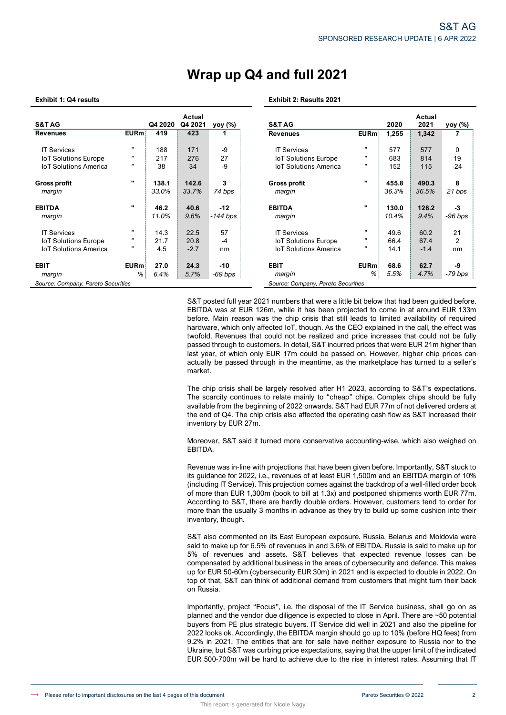# **Wrap up Q4 and full 2021**

## **Exhibit 1: Q4 results Exhibit 2: Results 2021**

| <b>S&amp;T AG</b>                                           |                       | Q4 2020      | Actual<br>Q4 2021  | yoy (%)               | <b>S&amp;T AG</b>                                                                                                                                                                                                                                                                                                                                                                                                                                                                                                                                                                                                                                                                                                                                                                                                                                                                                                                                                                                                                                  |                           | 2020         | Actual<br>2021 | <u>yoy (%)</u> |
|-------------------------------------------------------------|-----------------------|--------------|--------------------|-----------------------|----------------------------------------------------------------------------------------------------------------------------------------------------------------------------------------------------------------------------------------------------------------------------------------------------------------------------------------------------------------------------------------------------------------------------------------------------------------------------------------------------------------------------------------------------------------------------------------------------------------------------------------------------------------------------------------------------------------------------------------------------------------------------------------------------------------------------------------------------------------------------------------------------------------------------------------------------------------------------------------------------------------------------------------------------|---------------------------|--------------|----------------|----------------|
| <b>Revenues</b>                                             | EURm                  | 419          | 423                | 1                     | <b>Revenues</b>                                                                                                                                                                                                                                                                                                                                                                                                                                                                                                                                                                                                                                                                                                                                                                                                                                                                                                                                                                                                                                    | EURm                      | 1,255        | 1,342          | 7              |
|                                                             |                       |              |                    |                       |                                                                                                                                                                                                                                                                                                                                                                                                                                                                                                                                                                                                                                                                                                                                                                                                                                                                                                                                                                                                                                                    |                           |              |                |                |
| <b>IT Services</b>                                          | $\boldsymbol{\theta}$ | 188          | 171                | -9                    | <b>IT Services</b>                                                                                                                                                                                                                                                                                                                                                                                                                                                                                                                                                                                                                                                                                                                                                                                                                                                                                                                                                                                                                                 | "                         | 577          | 577            | 0              |
| <b>IoT Solutions Europe</b>                                 | $\overline{u}$        | 217          | 276                | 27                    | <b>IoT Solutions Europe</b>                                                                                                                                                                                                                                                                                                                                                                                                                                                                                                                                                                                                                                                                                                                                                                                                                                                                                                                                                                                                                        | H                         | 683          | 814            | 19             |
| <b>IoT Solutions America</b>                                | $\pmb{\mathsf{u}}$    | 38           | 34                 | -9                    | <b>IoT Solutions America</b>                                                                                                                                                                                                                                                                                                                                                                                                                                                                                                                                                                                                                                                                                                                                                                                                                                                                                                                                                                                                                       | $\boldsymbol{\mathsf{r}}$ | 152          | 115            | -24            |
| <b>Gross profit</b>                                         |                       | 138.1        | 142.6              | 3                     | <b>Gross profit</b>                                                                                                                                                                                                                                                                                                                                                                                                                                                                                                                                                                                                                                                                                                                                                                                                                                                                                                                                                                                                                                |                           | 455.8        | 490.3          | 8              |
| margin                                                      |                       | 33.0%        | 33.7%              | 74 bps                | margin                                                                                                                                                                                                                                                                                                                                                                                                                                                                                                                                                                                                                                                                                                                                                                                                                                                                                                                                                                                                                                             |                           | 36.3%        | 36.5%          | 21 bps         |
| <b>EBITDA</b>                                               |                       | 46.2         | 40.6               | $-12$                 | <b>EBITDA</b>                                                                                                                                                                                                                                                                                                                                                                                                                                                                                                                                                                                                                                                                                                                                                                                                                                                                                                                                                                                                                                      |                           | 130.0        | 126.2          | -3             |
| margin                                                      |                       | 11.0%        | 9.6%               | $-144$ bps            | margin                                                                                                                                                                                                                                                                                                                                                                                                                                                                                                                                                                                                                                                                                                                                                                                                                                                                                                                                                                                                                                             |                           | 10.4%        | 9.4%           | $-96$ bps      |
|                                                             | $\overline{u}$        |              |                    |                       |                                                                                                                                                                                                                                                                                                                                                                                                                                                                                                                                                                                                                                                                                                                                                                                                                                                                                                                                                                                                                                                    | $\boldsymbol{\mathsf{u}}$ |              |                |                |
| <b>IT Services</b>                                          | $\overline{u}$        | 14.3<br>21.7 | 22.5<br>20.8       | 57<br>-4              | <b>IT Services</b><br><b>IoT Solutions Europe</b>                                                                                                                                                                                                                                                                                                                                                                                                                                                                                                                                                                                                                                                                                                                                                                                                                                                                                                                                                                                                  | $\boldsymbol{\mathsf{r}}$ | 49.6<br>66.4 | 60.2<br>67.4   | 21<br>2        |
| <b>IoT Solutions Europe</b><br><b>IoT Solutions America</b> | $\boldsymbol{\theta}$ | 4.5          | $-2.7$             | nm                    | <b>IoT Solutions America</b>                                                                                                                                                                                                                                                                                                                                                                                                                                                                                                                                                                                                                                                                                                                                                                                                                                                                                                                                                                                                                       | 14.1                      | $-1.4$       | nm             |                |
|                                                             |                       |              |                    |                       |                                                                                                                                                                                                                                                                                                                                                                                                                                                                                                                                                                                                                                                                                                                                                                                                                                                                                                                                                                                                                                                    |                           |              |                |                |
| EBIT                                                        | <b>EURm</b>           | 27.0         | 24.3               | -10                   | <b>EBIT</b>                                                                                                                                                                                                                                                                                                                                                                                                                                                                                                                                                                                                                                                                                                                                                                                                                                                                                                                                                                                                                                        | <b>EURm</b>               | 68.6         | 62.7           | -9             |
| margin                                                      | %                     | 6.4%         | 5.7%               | $-69$ bps             | margin                                                                                                                                                                                                                                                                                                                                                                                                                                                                                                                                                                                                                                                                                                                                                                                                                                                                                                                                                                                                                                             | %                         | 5.5%         | 4.7%           | -79 bps        |
| Source: Company, Pareto Securities                          |                       |              |                    |                       | Source: Company, Pareto Securities                                                                                                                                                                                                                                                                                                                                                                                                                                                                                                                                                                                                                                                                                                                                                                                                                                                                                                                                                                                                                 |                           |              |                |                |
|                                                             |                       |              | market.<br>EBITDA. | inventory by EUR 27m. | hardware, which only affected loT, though. As the CEO explained in the call, the effect was<br>twofold. Revenues that could not be realized and price increases that could not be fully<br>passed through to customers. In detail, S&T incurred prices that were EUR 21m higher than<br>last year, of which only EUR 17m could be passed on. However, higher chip prices can<br>actually be passed through in the meantime, as the marketplace has turned to a seller's<br>The chip crisis shall be largely resolved after H1 2023, according to S&T's expectations.<br>The scarcity continues to relate mainly to "cheap" chips. Complex chips should be fully<br>available from the beginning of 2022 onwards. S&T had EUR 77m of not delivered orders at<br>the end of Q4. The chip crisis also affected the operating cash flow as S&T increased their<br>Moreover, S&T said it turned more conservative accounting-wise, which also weighed on<br>Revenue was in-line with projections that have been given before. Importantly, S&T stuck to |                           |              |                |                |
|                                                             |                       |              |                    | inventory, though.    | its guidance for 2022, i.e., revenues of at least EUR 1,500m and an EBITDA margin of 10%<br>(including IT Service). This projection comes against the backdrop of a well-filled order book<br>of more than EUR 1,300m (book to bill at 1.3x) and postponed shipments worth EUR 77m.<br>According to S&T, there are hardly double orders. However, customers tend to order for<br>more than the usually 3 months in advance as they try to build up some cushion into their                                                                                                                                                                                                                                                                                                                                                                                                                                                                                                                                                                         |                           |              |                |                |
|                                                             |                       |              | on Russia.         |                       | S&T also commented on its East European exposure. Russia, Belarus and Moldovia were<br>said to make up for 6.5% of revenues in and 3.6% of EBITDA. Russia is said to make up for<br>5% of revenues and assets. S&T believes that expected revenue losses can be<br>compensated by additional business in the areas of cybersecurity and defence. This makes<br>up for EUR 50-60m (cybersecurity EUR 30m) in 2021 and is expected to double in 2022. On<br>top of that, S&T can think of additional demand from customers that might turn their back                                                                                                                                                                                                                                                                                                                                                                                                                                                                                                |                           |              |                |                |
|                                                             |                       |              |                    |                       | Importantly, project "Focus", i.e. the disposal of the IT Service business, shall go on as<br>planned and the vendor due diligence is expected to close in April. There are ~50 potential<br>buyers from PE plus strategic buyers. IT Service did well in 2021 and also the pipeline for<br>2022 looks ok. Accordingly, the EBITDA margin should go up to 10% (before HQ fees) from<br>9.2% in 2021. The entities that are for sale have neither exposure to Russia nor to the<br>Ukraine, but S&T was curbing price expectations, saying that the upper limit of the indicated<br>EUR 500-700m will be hard to achieve due to the rise in interest rates. Assuming that IT                                                                                                                                                                                                                                                                                                                                                                        |                           |              |                |                |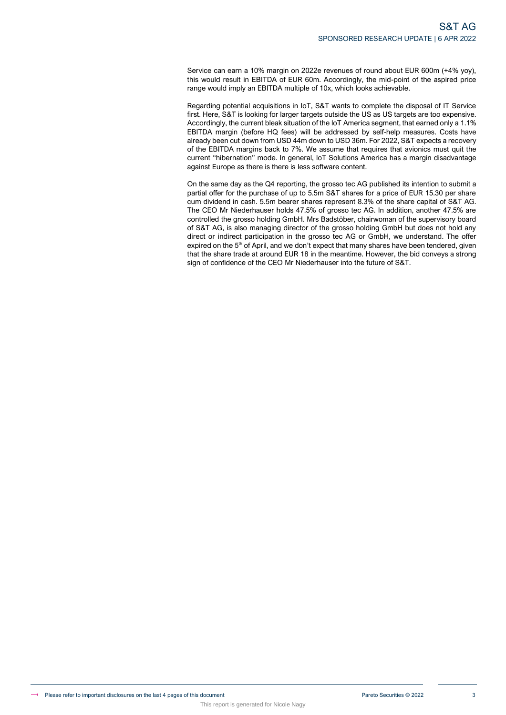Service can earn a 10% margin on 2022e revenues of round about EUR 600m (+4% yoy), this would result in EBITDA of EUR 60m. Accordingly, the mid-point of the aspired price range would imply an EBITDA multiple of 10x, which looks achievable.

Regarding potential acquisitions in IoT, S&T wants to complete the disposal of IT Service first. Here, S&T is looking for larger targets outside the US as US targets are too expensive. Accordingly, the current bleak situation of the IoT America segment, that earned only a 1.1% EBITDA margin (before HQ fees) will be addressed by self-help measures. Costs have already been cut down from USD 44m down to USD 36m. For 2022, S&T expects a recovery of the EBITDA margins back to 7%. We assume that requires that avionics must quit the current "hibernation" mode. In general, IoT Solutions America has a margin disadvantage against Europe as there is there is less software content.

On the same day as the Q4 reporting, the grosso tec AG published its intention to submit a partial offer for the purchase of up to 5.5m S&T shares for a price of EUR 15.30 per share cum dividend in cash. 5.5m bearer shares represent 8.3% of the share capital of S&T AG. The CEO Mr Niederhauser holds 47.5% of grosso tec AG. In addition, another 47.5% are controlled the grosso holding GmbH. Mrs Badstöber, chairwoman of the supervisory board of S&T AG, is also managing director of the grosso holding GmbH but does not hold any direct or indirect participation in the grosso tec AG or GmbH, we understand. The offer expired on the 5<sup>th</sup> of April, and we don't expect that many shares have been tendered, given that the share trade at around EUR 18 in the meantime. However, the bid conveys a strong sign of confidence of the CEO Mr Niederhauser into the future of S&T.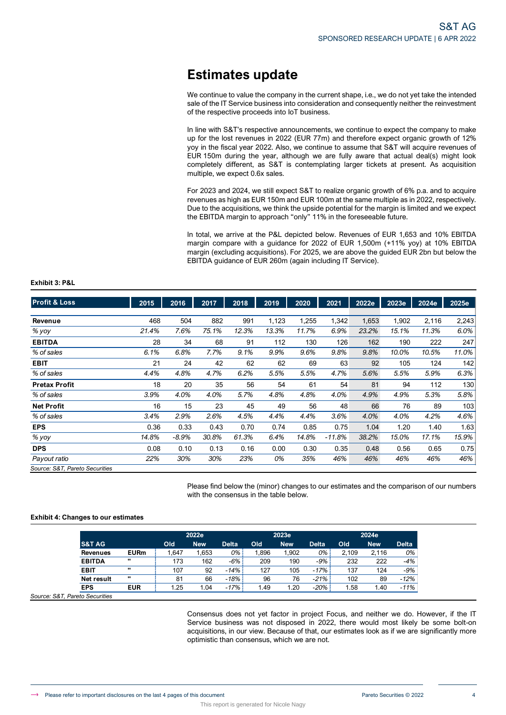# **Estimates update**

We continue to value the company in the current shape, i.e., we do not yet take the intended sale of the IT Service business into consideration and consequently neither the reinvestment of the respective proceeds into IoT business.

In line with S&T's respective announcements, we continue to expect the company to make up for the lost revenues in 2022 (EUR 77m) and therefore expect organic growth of 12% yoy in the fiscal year 2022. Also, we continue to assume that S&T will acquire revenues of EUR 150m during the year, although we are fully aware that actual deal(s) might look completely different, as S&T is contemplating larger tickets at present. As acquisition multiple, we expect 0.6x sales.

For 2023 and 2024, we still expect S&T to realize organic growth of 6% p.a. and to acquire revenues as high as EUR 150m and EUR 100m at the same multiple as in 2022, respectively. Due to the acquisitions, we think the upside potential for the margin is limited and we expect the EBITDA margin to approach "only" 11% in the foreseeable future.

In total, we arrive at the P&L depicted below. Revenues of EUR 1,653 and 10% EBITDA margin compare with a guidance for 2022 of EUR 1,500m (+11% yoy) at 10% EBITDA margin (excluding acquisitions). For 2025, we are above the guided EUR 2bn but below the EBITDA guidance of EUR 260m (again including IT Service).

| <b>Profit &amp; Loss</b>       | 2015    | 2016    | 2017  | 2018  | 2019  | 2020  | 2021     | 2022e | 2023e | 2024e | 2025e |
|--------------------------------|---------|---------|-------|-------|-------|-------|----------|-------|-------|-------|-------|
|                                |         |         |       |       |       |       |          |       |       |       |       |
| Revenue                        | 468     | 504     | 882   | 991   | 1,123 | 1,255 | 1,342    | 1,653 | 1,902 | 2,116 | 2,243 |
| % yoy                          | 21.4%   | 7.6%    | 75.1% | 12.3% | 13.3% | 11.7% | 6.9%     | 23.2% | 15.1% | 11.3% | 6.0%  |
| <b>EBITDA</b>                  | 28      | 34      | 68    | 91    | 112   | 130   | 126      | 162   | 190   | 222   | 247   |
| % of sales                     | 6.1%    | 6.8%    | 7.7%  | 9.1%  | 9.9%  | 9.6%  | 9.8%     | 9.8%  | 10.0% | 10.5% | 11.0% |
| <b>EBIT</b>                    | 21      | 24      | 42    | 62    | 62    | 69    | 63       | 92    | 105   | 124   | 142   |
| % of sales                     | 4.4%    | 4.8%    | 4.7%  | 6.2%  | 5.5%  | 5.5%  | 4.7%     | 5.6%  | 5.5%  | 5.9%  | 6.3%  |
| <b>Pretax Profit</b>           | 18      | 20      | 35    | 56    | 54    | 61    | 54       | 81    | 94    | 112   | 130   |
| % of sales                     | 3.9%    | 4.0%    | 4.0%  | 5.7%  | 4.8%  | 4.8%  | 4.0%     | 4.9%  | 4.9%  | 5.3%  | 5.8%  |
| <b>Net Profit</b>              | 16      | 15      | 23    | 45    | 49    | 56    | 48       | 66    | 76    | 89    | 103   |
| % of sales                     | $3.4\%$ | 2.9%    | 2.6%  | 4.5%  | 4.4%  | 4.4%  | 3.6%     | 4.0%  | 4.0%  | 4.2%  | 4.6%  |
| <b>EPS</b>                     | 0.36    | 0.33    | 0.43  | 0.70  | 0.74  | 0.85  | 0.75     | 1.04  | 1.20  | 1.40  | 1.63  |
| % yoy                          | 14.8%   | $-8.9%$ | 30.8% | 61.3% | 6.4%  | 14.8% | $-11.8%$ | 38.2% | 15.0% | 17.1% | 15.9% |
| <b>DPS</b>                     | 0.08    | 0.10    | 0.13  | 0.16  | 0.00  | 0.30  | 0.35     | 0.48  | 0.56  | 0.65  | 0.75  |
| Payout ratio                   | 22%     | 30%     | 30%   | 23%   | 0%    | 35%   | 46%      | 46%   | 46%   | 46%   | 46%   |
| Source: S&T, Pareto Securities |         |         |       |       |       |       |          |       |       |       |       |

Please find below the (minor) changes to our estimates and the comparison of our numbers with the consensus in the table below.

## **Exhibit 4: Changes to our estimates**

**Exhibit 3: P&L**

|                   |             |       | 2022e      |              |      |            |              | 2024e |            |              |
|-------------------|-------------|-------|------------|--------------|------|------------|--------------|-------|------------|--------------|
| <b>S&amp;T AG</b> |             | Old   | <b>New</b> | <b>Delta</b> | Old  | <b>New</b> | <b>Delta</b> | Old   | <b>New</b> | <b>Delta</b> |
| Revenues          | <b>EURm</b> | 1.647 | .653       | 0%           | .896 | 1.902      | 0%           | 2.109 | 2.116      | 0%           |
| <b>EBITDA</b>     | $\cdots$    | 173   | 162        | -6%          | 209  | 190        | $-9%$        | 232   | 222        | $-4%$        |
| <b>EBIT</b>       | $\cdot$     | 107   | 92         | $-14%$       | 127  | 105        | $-17%$       | 137   | 124        | $-9%$        |
| Net result        | $\cdots$    | 81    | 66         | $-18%$       | 96   | 76         | $-21%$       | 102   | 89         | $-12%$       |
| <b>EPS</b>        | <b>EUR</b>  | 1.25  | 1.04       | $-17%$       | 1.49 | 1.20       | $-20%$       | 1.58  | 1.40       | $-11%$       |

*Source: S&T, Pareto Securities* 

Consensus does not yet factor in project Focus, and neither we do. However, if the IT Service business was not disposed in 2022, there would most likely be some bolt-on acquisitions, in our view. Because of that, our estimates look as if we are significantly more optimistic than consensus, which we are not.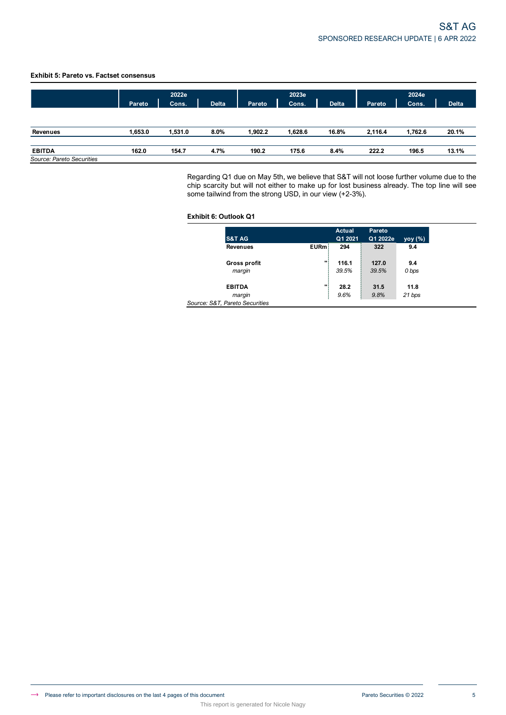## **Exhibit 5: Pareto vs. Factset consensus**

|                                            | 2022e         |         |              |         | 2023e   |              |         | 2024e   |              |  |  |
|--------------------------------------------|---------------|---------|--------------|---------|---------|--------------|---------|---------|--------------|--|--|
|                                            | <b>Pareto</b> | Cons.   | <b>Delta</b> | Pareto  | Cons.   | <b>Delta</b> | Pareto  | Cons.   | <b>Delta</b> |  |  |
| Revenues                                   | 1,653.0       | 1,531.0 | 8.0%         | 1,902.2 | 1,628.6 | 16.8%        | 2,116.4 | 1,762.6 | 20.1%        |  |  |
| <b>EBITDA</b><br>Source: Pareto Securities | 162.0         | 154.7   | 4.7%         | 190.2   | 175.6   | 8.4%         | 222.2   | 196.5   | 13.1%        |  |  |

This report is generated for Nicole Nagy

Regarding Q1 due on May 5th, we believe that S&T will not loose further volume due to the chip scarcity but will not either to make up for lost business already. The top line will see some tailwind from the strong USD, in our view (+2-3%).

## **Exhibit 6: Outlook Q1**

| S&T AG                         |      | <b>Actual</b><br>Q1 2021 | Pareto<br>Q1 2022e | yoy (%) |
|--------------------------------|------|--------------------------|--------------------|---------|
| <b>Revenues</b>                | EURm | 294                      | 322                | 9.4     |
| <b>Gross profit</b>            | w    | 116.1                    | 127.0              | 9.4     |
| margin                         |      | 39.5%                    | 39.5%              | 0 bps   |
| <b>EBITDA</b>                  | m    | 28.2                     | 31.5               | 11.8    |
| margin                         |      | 9.6%                     | 9.8%               | 21 bps  |
| Source: S&T, Pareto Securities |      |                          |                    |         |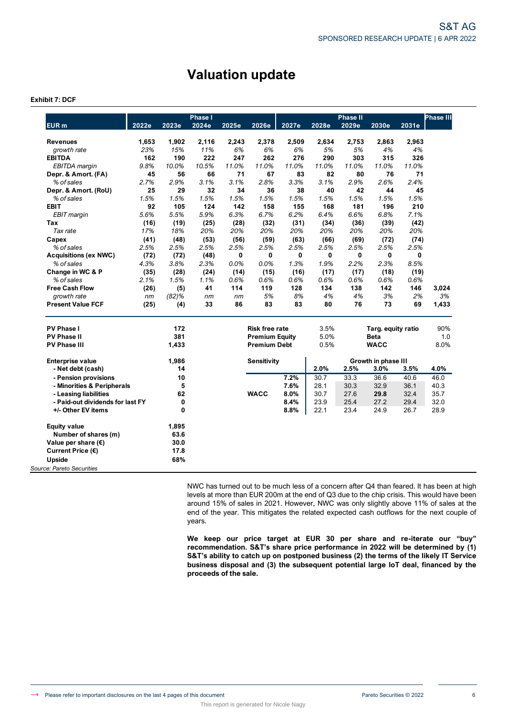# **Valuation update**

## **Exhibit 7: DCF**

|                                  |       |          | Phase I |       |                       |       |       | <b>Phase II</b>    |                     |       | <b>Phase III</b> |
|----------------------------------|-------|----------|---------|-------|-----------------------|-------|-------|--------------------|---------------------|-------|------------------|
| EUR <sub>m</sub>                 | 2022e | 2023e    | 2024e   | 2025e | 2026e                 | 2027e | 2028e | 2029e              | 2030e               | 2031e |                  |
| <b>Revenues</b>                  | 1,653 | 1,902    | 2.116   | 2,243 | 2,378                 | 2,509 | 2,634 | 2,753              | 2,863               | 2,963 |                  |
| growth rate                      | 23%   | 15%      | 11%     | 6%    | 6%                    | 6%    | 5%    | 5%                 | 4%                  | 4%    |                  |
| <b>EBITDA</b>                    | 162   | 190      | 222     | 247   | 262                   | 276   | 290   | 303                | 315                 | 326   |                  |
| <b>EBITDA</b> margin             | 9.8%  | 10.0%    | 10.5%   | 11.0% | 11.0%                 | 11.0% | 11.0% | 11.0%              | 11.0%               | 11.0% |                  |
| Depr. & Amort. (FA)              | 45    | 56       | 66      | 71    | 67                    | 83    | 82    | 80                 | 76                  | 71    |                  |
| % of sales                       | 2.7%  | 2.9%     | 3.1%    | 3.1%  | 2.8%                  | 3.3%  | 3.1%  | 2.9%               | 2.6%                | 2.4%  |                  |
| Depr. & Amort. (RoU)             | 25    | 29       | 32      | 34    | 36                    | 38    | 40    | 42                 | 44                  | 45    |                  |
| % of sales                       | 1.5%  | 1.5%     | 1.5%    | 1.5%  | 1.5%                  | 1.5%  | 1.5%  | 1.5%               | 1.5%                | 1.5%  |                  |
| <b>EBIT</b>                      | 92    | 105      | 124     | 142   | 158                   | 155   | 168   | 181                | 196                 | 210   |                  |
| EBIT margin                      | 5.6%  | 5.5%     | 5.9%    | 6.3%  | 6.7%                  | 6.2%  | 6.4%  | 6.6%               | 6.8%                | 7.1%  |                  |
| Tax                              | (16)  | (19)     | (25)    | (28)  | (32)                  | (31)  | (34)  | (36)               | (39)                | (42)  |                  |
| Tax rate                         | 17%   | 18%      | 20%     | 20%   | 20%                   | 20%   | 20%   | 20%                | 20%                 | 20%   |                  |
| Capex                            | (41)  | (48)     | (53)    | (56)  | (59)                  | (63)  | (66)  | (69)               | (72)                | (74)  |                  |
| % of sales                       | 2.5%  | 2.5%     | 2.5%    | 2.5%  | 2.5%                  | 2.5%  | 2.5%  | 2.5%               | 2.5%                | 2.5%  |                  |
| <b>Acquisitions (ex NWC)</b>     | (72)  | (72)     | (48)    | 0     | 0                     | 0     | 0     | 0                  | 0                   | 0     |                  |
| % of sales                       | 4.3%  | 3.8%     | 2.3%    | 0.0%  | 0.0%                  | 1.3%  | 1.9%  | 2.2%               | 2.3%                | 8.5%  |                  |
| Change in WC & P                 | (35)  | (28)     | (24)    | (14)  | (15)                  | (16)  | (17)  | (17)               | (18)                | (19)  |                  |
| % of sales                       | 2.1%  | 1.5%     | 1.1%    | 0.6%  | 0.6%                  | 0.6%  | 0.6%  | 0.6%               | 0.6%                | 0.6%  |                  |
| <b>Free Cash Flow</b>            | (26)  | (5)      | 41      | 114   | 119                   | 128   | 134   | 138                | 142                 | 146   | 3,024            |
| growth rate                      | nm    | $(82)$ % | nm      | nm    | 5%                    | 8%    | 4%    | 4%                 | 3%                  | 2%    | 3%               |
| <b>Present Value FCF</b>         | (25)  | (4)      | 33      | 86    | 83                    | 83    | 80    | 76                 | 73                  | 69    | 1,433            |
| <b>PV Phase I</b>                |       | 172      |         |       | <b>Risk free rate</b> |       | 3.5%  | Targ. equity ratio |                     |       | 90%              |
| <b>PV Phase II</b>               |       | 381      |         |       | <b>Premium Equity</b> |       | 5.0%  |                    | <b>Beta</b>         |       | 1.0              |
| <b>PV Phase III</b>              |       | 1,433    |         |       | <b>Premium Debt</b>   |       | 0.5%  |                    | <b>WACC</b>         |       | 8.0%             |
| <b>Enterprise value</b>          |       | 1,986    |         |       | Sensitivity           |       |       |                    | Growth in phase III |       |                  |
| - Net debt (cash)                |       | 14       |         |       |                       |       | 2.0%  | 2.5%               | 3.0%                | 3.5%  | 4.0%             |
| - Pension provisions             |       | 10       |         |       |                       | 7.2%  | 30.7  | 33.3               | 36.6                | 40.6  | 46.0             |
| - Minorities & Peripherals       |       | 5        |         |       |                       | 7.6%  | 28.1  | 30.3               | 32.9                | 36.1  | 40.3             |
| - Leasing liabilities            |       | 62       |         |       | <b>WACC</b>           | 8.0%  | 30.7  | 27.6               | 29.8                | 32.4  | 35.7             |
| - Paid-out dividends for last FY |       | 0        |         |       |                       | 8.4%  | 23.9  | 25.4               | 27.2                | 29.4  | 32.0             |
| +/- Other EV items               |       | 0        |         |       |                       | 8.8%  | 22.1  | 23.4               | 24.9                | 26.7  | 28.9             |
| <b>Equity value</b>              |       | 1,895    |         |       |                       |       |       |                    |                     |       |                  |
| Number of shares (m)             |       | 63.6     |         |       |                       |       |       |                    |                     |       |                  |
| Value per share $(\epsilon)$     |       | 30.0     |         |       |                       |       |       |                    |                     |       |                  |
| Current Price (€)                |       | 17.8     |         |       |                       |       |       |                    |                     |       |                  |
| Upside                           |       | 68%      |         |       |                       |       |       |                    |                     |       |                  |
| Source: Pareto Securities        |       |          |         |       |                       |       |       |                    |                     |       |                  |

This report is generated for Nicole Nagy

NWC has turned out to be much less of a concern after Q4 than feared. It has been at high levels at more than EUR 200m at the end of Q3 due to the chip crisis. This would have been around 15% of sales in 2021. However, NWC was only slightly above 11% of sales at the end of the year. This mitigates the related expected cash outflows for the next couple of years.

**We keep our price target at EUR 30 per share and re-iterate our "buy" recommendation. S&T's share price performance in 2022 will be determined by (1) S&T's ability to catch up on postponed business (2) the terms of the likely IT Service business disposal and (3) the subsequent potential large IoT deal, financed by the proceeds of the sale.**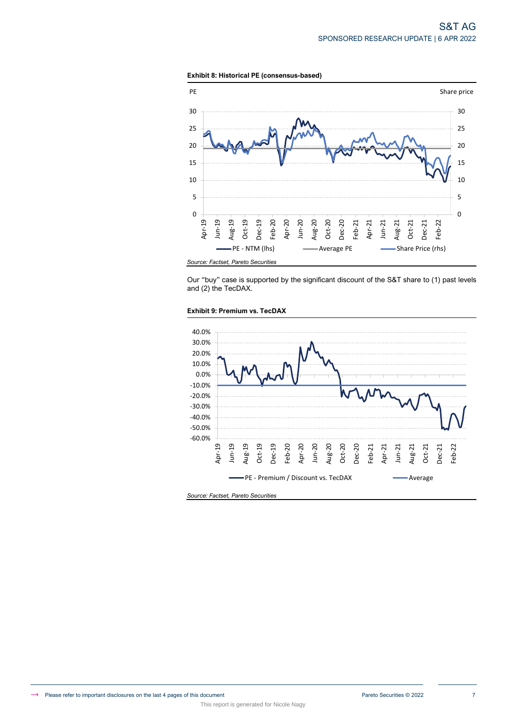



Our "buy" case is supported by the significant discount of the S&T share to (1) past levels and (2) the TecDAX.



**Exhibit 9: Premium vs. TecDAX**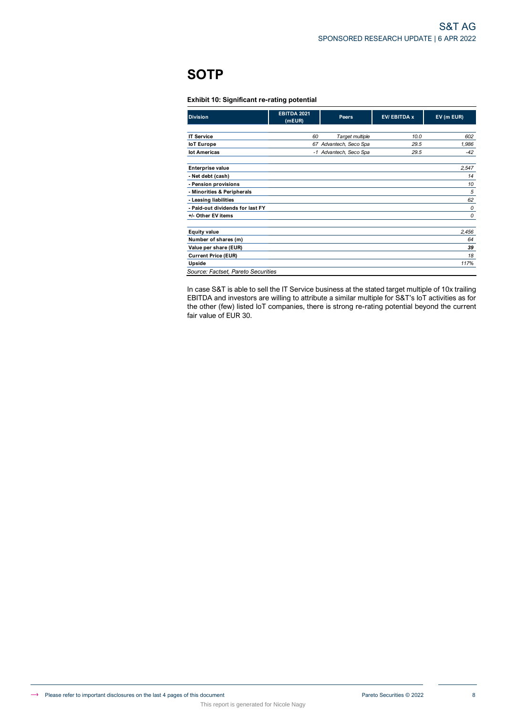# **SOTP**

## **Exhibit 10: Significant re-rating potential**

This report is generated for Nicole Nagy

| <b>Division</b>                    | <b>EBITDA 2021</b><br>(mEUR) | Peers                  | <b>EV/EBITDA x</b> | EV (m EUR) |
|------------------------------------|------------------------------|------------------------|--------------------|------------|
|                                    |                              |                        |                    |            |
| <b>IT Service</b>                  | 60                           | Target multiple        | 10.0               | 602        |
| loT Europe                         | 67                           | Advantech, Seco Spa    | 29.5               | 1,986      |
| lot Americas                       |                              | -1 Advantech, Seco Spa | 29.5               | $-42$      |
| <b>Enterprise value</b>            |                              |                        |                    | 2,547      |
| - Net debt (cash)                  |                              |                        |                    | 14         |
| - Pension provisions               |                              |                        |                    | 10         |
| - Minorities & Peripherals         |                              |                        |                    | 5          |
| - Leasing liabilities              |                              |                        |                    | 62         |
| - Paid-out dividends for last FY   |                              |                        |                    | 0          |
| +/- Other EV items                 |                              |                        |                    | 0          |
| <b>Equity value</b>                |                              |                        |                    | 2,456      |
| Number of shares (m)               |                              |                        |                    | 64         |
| Value per share (EUR)              |                              |                        |                    | 39         |
| <b>Current Price (EUR)</b>         |                              |                        |                    | 18         |
| Upside                             |                              |                        |                    | 117%       |
| Source: Factset, Pareto Securities |                              |                        |                    |            |

In case S&T is able to sell the IT Service business at the stated target multiple of 10x trailing EBITDA and investors are willing to attribute a similar multiple for S&T's IoT activities as for the other (few) listed IoT companies, there is strong re-rating potential beyond the current fair value of EUR 30.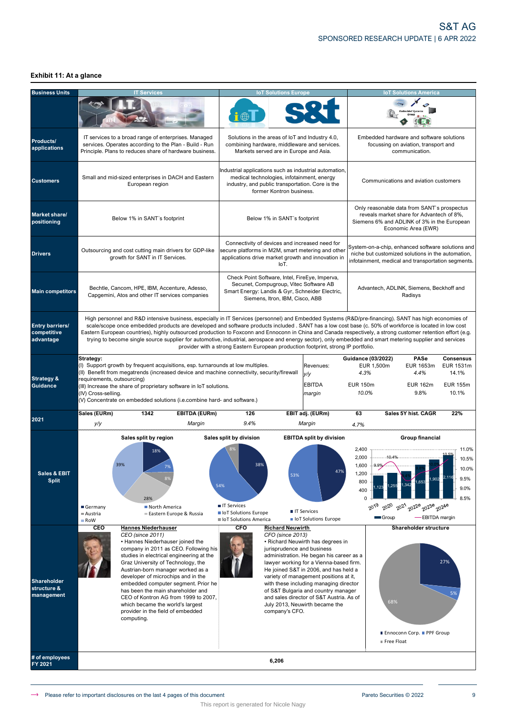## **Exhibit 11: At a glance**

| <b>Business Units</b>                           |                                                                                                                                                                                                                                                                                                                                                                                                  | <b>T</b> Services                                                                                                                                                                                                                                                                                                                                                                                                                                                                                                                                                                                                                           |                                                                                                         | <b>IoT Solutions Europe</b>                                                                                                                                                    |                                                                                                                                                                                                                                                                                                                                                                            |                                                                                                                                                              | <b>IoT Solutions America</b>                                                                            |                                                                    |  |
|-------------------------------------------------|--------------------------------------------------------------------------------------------------------------------------------------------------------------------------------------------------------------------------------------------------------------------------------------------------------------------------------------------------------------------------------------------------|---------------------------------------------------------------------------------------------------------------------------------------------------------------------------------------------------------------------------------------------------------------------------------------------------------------------------------------------------------------------------------------------------------------------------------------------------------------------------------------------------------------------------------------------------------------------------------------------------------------------------------------------|---------------------------------------------------------------------------------------------------------|--------------------------------------------------------------------------------------------------------------------------------------------------------------------------------|----------------------------------------------------------------------------------------------------------------------------------------------------------------------------------------------------------------------------------------------------------------------------------------------------------------------------------------------------------------------------|--------------------------------------------------------------------------------------------------------------------------------------------------------------|---------------------------------------------------------------------------------------------------------|--------------------------------------------------------------------|--|
|                                                 |                                                                                                                                                                                                                                                                                                                                                                                                  |                                                                                                                                                                                                                                                                                                                                                                                                                                                                                                                                                                                                                                             |                                                                                                         |                                                                                                                                                                                |                                                                                                                                                                                                                                                                                                                                                                            |                                                                                                                                                              |                                                                                                         |                                                                    |  |
| Products/<br>applications                       |                                                                                                                                                                                                                                                                                                                                                                                                  | IT services to a broad range of enterprises. Managed<br>services. Operates according to the Plan - Build - Run<br>Principle. Plans to reduces share of hardware business.                                                                                                                                                                                                                                                                                                                                                                                                                                                                   |                                                                                                         | Solutions in the areas of loT and Industry 4.0,<br>combining hardware, middleware and services.<br>Markets served are in Europe and Asia.                                      |                                                                                                                                                                                                                                                                                                                                                                            | Embedded hardware and software solutions                                                                                                                     | focussing on aviation, transport and<br>communication.                                                  |                                                                    |  |
| <b>Customers</b>                                |                                                                                                                                                                                                                                                                                                                                                                                                  | Small and mid-sized enterprises in DACH and Eastern<br>European region                                                                                                                                                                                                                                                                                                                                                                                                                                                                                                                                                                      |                                                                                                         | medical technologies, infotainment, energy<br>industry, and public transportation. Core is the<br>former Kontron business.                                                     | Industrial applications such as industrial automation,                                                                                                                                                                                                                                                                                                                     | Communications and aviation customers                                                                                                                        |                                                                                                         |                                                                    |  |
| <b>Market share/</b><br>positioning             |                                                                                                                                                                                                                                                                                                                                                                                                  | Below 1% in SANT's footprint                                                                                                                                                                                                                                                                                                                                                                                                                                                                                                                                                                                                                |                                                                                                         | Below 1% in SANT's footprint                                                                                                                                                   |                                                                                                                                                                                                                                                                                                                                                                            | Only reasonable data from SANT's prospectus<br>Siemens 6% and ADLINK of 3% in the European                                                                   | reveals market share for Advantech of 8%,<br>Economic Area (EWR)                                        |                                                                    |  |
| <b>Drivers</b>                                  |                                                                                                                                                                                                                                                                                                                                                                                                  | Outsourcing and cost cutting main drivers for GDP-like<br>growth for SANT in IT Services.                                                                                                                                                                                                                                                                                                                                                                                                                                                                                                                                                   |                                                                                                         | Connectivity of devices and increased need for<br>IoT.                                                                                                                         | secure platforms in M2M, smart metering and other<br>applications drive market growth and innovation in                                                                                                                                                                                                                                                                    | System-on-a-chip, enhanced software solutions and<br>niche but customized solutions in the automation,<br>infotainment, medical and transportation segments. |                                                                                                         |                                                                    |  |
| <b>Main competitors</b>                         |                                                                                                                                                                                                                                                                                                                                                                                                  | Bechtle, Cancom, HPE, IBM, Accenture, Adesso,<br>Capgemini, Atos and other IT services companies                                                                                                                                                                                                                                                                                                                                                                                                                                                                                                                                            |                                                                                                         | Check Point Software, Intel, FireEye, Imperva,<br>Secunet, Compugroup, Vitec Software AB<br>Smart Energy: Landis & Gyr, Schneider Electric,<br>Siemens, Itron, IBM, Cisco, ABB |                                                                                                                                                                                                                                                                                                                                                                            | Advantech, ADLINK, Siemens, Beckhoff and                                                                                                                     | Radisys                                                                                                 |                                                                    |  |
| Entry barriers/<br>competitive<br>advantage     |                                                                                                                                                                                                                                                                                                                                                                                                  | High personnel and R&D intensive business, especially in IT Services (personnel) and Embedded Systems (R&D/pre-financing). SANT has high economies of<br>scale/scope once embedded products are developed and software products included . SANT has a low cost base (c. 50% of workforce is located in low cost<br>Eastern European countries), highly outsourced production to Foxconn and Ennoconn in China and Canada respectively, a strong customer retention effort (e.g.<br>trying to become single source supplier for automotive, industrial, aerospace and energy sector), only embedded and smart metering supplier and services | provider with a strong Eastern European production footprint, strong IP portfolio.                      |                                                                                                                                                                                |                                                                                                                                                                                                                                                                                                                                                                            |                                                                                                                                                              |                                                                                                         |                                                                    |  |
| <b>Strategy &amp;</b><br><b>Guidance</b>        | Strategy:<br>(I) Support growth by frequent acquisitions, esp. turnarounds at low multiples.<br>(II) Benefit from megatrends (increased device and machine connectivity, security/firewall<br>requirements, outsourcing)<br>(III) Increase the share of proprietary software in IoT solutions.<br>(IV) Cross-selling.<br>(V) Concentrate on embedded solutions (i.e.combine hard- and software.) |                                                                                                                                                                                                                                                                                                                                                                                                                                                                                                                                                                                                                                             |                                                                                                         |                                                                                                                                                                                | Revenues:<br>y/y<br><b>EBITDA</b><br>margin                                                                                                                                                                                                                                                                                                                                | <b>Guidance (03/2022)</b><br>EUR 1,500m<br>4.3%<br><b>EUR 150m</b><br>10.0%                                                                                  | PASe<br>EUR 1653m<br>4.4%<br><b>EUR 162m</b><br>9.8%                                                    | <b>Consensus</b><br>EUR 1531m<br>14.1%<br><b>EUR 155m</b><br>10.1% |  |
| 2021                                            | Sales (EURm)<br>y/y                                                                                                                                                                                                                                                                                                                                                                              | <b>EBITDA (EURm)</b><br>1342<br>Margin                                                                                                                                                                                                                                                                                                                                                                                                                                                                                                                                                                                                      | 126<br>9.4%                                                                                             |                                                                                                                                                                                | EBIT adj. (EURm)<br>Margin                                                                                                                                                                                                                                                                                                                                                 | 63<br>4.7%                                                                                                                                                   | Sales 5Y hist. CAGR                                                                                     | 22%                                                                |  |
| Sales & EBIT<br><b>Split</b>                    | Sales split by region<br>39%<br>Germany<br>Austria<br>RoW                                                                                                                                                                                                                                                                                                                                        | 18%<br>28%<br>North America<br>Eastern Europe & Russia                                                                                                                                                                                                                                                                                                                                                                                                                                                                                                                                                                                      | Sales split by division<br>54%<br><b>T</b> IT Services<br>loT Solutions Europe<br>loT Solutions America | 53%                                                                                                                                                                            | <b>EBITDA split by division</b><br>47%<br><b>IT Services</b><br>loT Solutions Europe                                                                                                                                                                                                                                                                                       | 2,400<br>2,000<br>$1,600 + 9.9%$<br>1,200<br>800<br>400<br>$\Omega$<br>2020<br>$20^{19}$<br>Group                                                            | <b>Group financial</b><br>10.4%<br>,902<br>$20^{21}$<br>2022 <sup>e</sup> 2023e 2024e<br>-EBITDA margin | 11.0%<br>10.5%<br>10.0%<br>9.5%<br>9.0%<br>8.5%                    |  |
| <b>Shareholder</b><br>structure &<br>management | CEO<br>CEO (since 2011)<br>computing.                                                                                                                                                                                                                                                                                                                                                            | <b>Hannes Niederhauser</b><br>• Hannes Niederhauser joined the<br>company in 2011 as CEO. Following his<br>studies in electrical engineering at the<br>Graz University of Technology, the<br>Austrian-born manager worked as a<br>developer of microchips and in the<br>embedded computer segment. Prior he<br>has been the main shareholder and<br>CEO of Kontron AG from 1999 to 2007,<br>which became the world's largest<br>provider in the field of embedded                                                                                                                                                                           | CFO                                                                                                     | <b>Richard Neuwirth</b><br>CFO (since 2013)<br>jurisprudence and business<br>company's CFO.                                                                                    | • Richard Neuwirth has degrees in<br>administration. He began his career as a<br>lawyer working for a Vienna-based firm.<br>He joined S&T in 2006, and has held a<br>variety of management positions at it,<br>with these including managing director<br>of S&T Bulgaria and country manager<br>and sales director of S&T Austria. As of<br>July 2013, Neuwirth became the | 68%<br>Free Float                                                                                                                                            | Shareholder structure<br>■ Ennoconn Corp. ■ PPF Group                                                   | 27%<br>5%                                                          |  |
| # of employees<br>FY 2021                       |                                                                                                                                                                                                                                                                                                                                                                                                  |                                                                                                                                                                                                                                                                                                                                                                                                                                                                                                                                                                                                                                             |                                                                                                         | 6,206                                                                                                                                                                          |                                                                                                                                                                                                                                                                                                                                                                            |                                                                                                                                                              |                                                                                                         |                                                                    |  |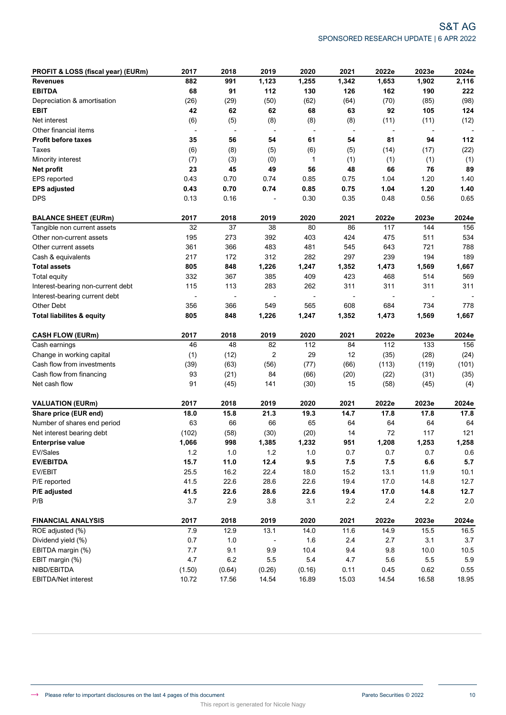| PROFIT & LOSS (fiscal year) (EURm)   | 2017                     | 2018                     | 2019                     | 2020                     | 2021                     | 2022e   | 2023e                    | 2024e   |
|--------------------------------------|--------------------------|--------------------------|--------------------------|--------------------------|--------------------------|---------|--------------------------|---------|
| <b>Revenues</b>                      | 882                      | 991                      | 1,123                    | 1,255                    | 1,342                    | 1,653   | 1,902                    | 2,116   |
| <b>EBITDA</b>                        | 68                       | 91                       | 112                      | 130                      | 126                      | 162     | 190                      | 222     |
| Depreciation & amortisation          | (26)                     | (29)                     | (50)                     | (62)                     | (64)                     | (70)    | (85)                     | (98)    |
| <b>EBIT</b>                          | 42                       | 62                       | 62                       | 68                       | 63                       | 92      | 105                      | 124     |
| Net interest                         | (6)                      | (5)                      | (8)                      | (8)                      | (8)                      | (11)    | (11)                     | (12)    |
| Other financial items                | $\overline{\phantom{a}}$ | $\overline{\phantom{m}}$ | $\overline{\phantom{a}}$ | $\overline{\phantom{a}}$ | $\overline{\phantom{a}}$ | ÷       | $\overline{\phantom{a}}$ |         |
| <b>Profit before taxes</b>           | 35                       | 56                       | 54                       | 61                       | 54                       | 81      | 94                       | 112     |
| Taxes                                | (6)                      | (8)                      | (5)                      | (6)                      | (5)                      | (14)    | (17)                     | (22)    |
| Minority interest                    | (7)                      | (3)                      | (0)                      | 1                        | (1)                      | (1)     | (1)                      | (1)     |
| Net profit                           | 23                       | 45                       | 49                       | 56                       | 48                       | 66      | 76                       | 89      |
| EPS reported                         | 0.43                     | 0.70                     | 0.74                     | 0.85                     | 0.75                     | 1.04    | 1.20                     | 1.40    |
| <b>EPS adjusted</b>                  | 0.43                     | 0.70                     | 0.74                     | 0.85                     | 0.75                     | 1.04    | 1.20                     | 1.40    |
| <b>DPS</b>                           | 0.13                     | 0.16                     |                          | 0.30                     | 0.35                     | 0.48    | 0.56                     | 0.65    |
| <b>BALANCE SHEET (EURm)</b>          | 2017                     | 2018                     | 2019                     | 2020                     | 2021                     | 2022e   | 2023e                    | 2024e   |
| Tangible non current assets          | 32                       | 37                       | 38                       | 80                       | 86                       | 117     | 144                      | 156     |
| Other non-current assets             | 195                      | 273                      | 392                      | 403                      | 424                      | 475     | 511                      | 534     |
| Other current assets                 | 361                      | 366                      | 483                      | 481                      | 545                      | 643     | 721                      | 788     |
| Cash & equivalents                   | 217                      | 172                      | 312                      | 282                      | 297                      | 239     | 194                      | 189     |
| <b>Total assets</b>                  | 805                      | 848                      | 1,226                    | 1,247                    | 1,352                    | 1,473   | 1,569                    | 1,667   |
| Total equity                         | 332                      | 367                      | 385                      | 409                      | 423                      | 468     | 514                      | 569     |
| Interest-bearing non-current debt    | 115                      | 113                      | 283                      | 262                      | 311                      | 311     | 311                      | 311     |
| Interest-bearing current debt        |                          |                          |                          | $\overline{\phantom{a}}$ |                          |         |                          |         |
| Other Debt                           | 356                      | 366                      | 549                      | 565                      | 608                      | 684     | 734                      | 778     |
| <b>Total liabilites &amp; equity</b> | 805                      | 848                      | 1,226                    | 1,247                    | 1,352                    | 1,473   | 1,569                    | 1,667   |
| <b>CASH FLOW (EURm)</b>              | 2017                     | 2018                     | 2019                     | 2020                     | 2021                     | 2022e   | 2023e                    | 2024e   |
| Cash earnings                        | 46                       | 48                       | 82                       | 112                      | 84                       | 112     | 133                      | 156     |
| Change in working capital            | (1)                      | (12)                     | $\overline{2}$           | 29                       | 12                       | (35)    | (28)                     | (24)    |
| Cash flow from investments           | (39)                     | (63)                     | (56)                     | (77)                     | (66)                     | (113)   | (119)                    | (101)   |
| Cash flow from financing             | 93                       | (21)                     | 84                       | (66)                     | (20)                     | (22)    | (31)                     | (35)    |
| Net cash flow                        | 91                       | (45)                     | 141                      | (30)                     | 15                       | (58)    | (45)                     | (4)     |
| <b>VALUATION (EURm)</b>              | 2017                     | 2018                     | 2019                     | 2020                     | 2021                     | 2022e   | 2023e                    | 2024e   |
| Share price (EUR end)                | 18.0                     | 15.8                     | 21.3                     | 19.3                     | 14.7                     | 17.8    | 17.8                     | 17.8    |
| Number of shares end period          | 63                       | 66                       | 66                       | 65                       | 64                       | 64      | 64                       | 64      |
| Net interest bearing debt            | (102)                    | (58)                     | (30)                     | (20)                     | 14                       | 72      | 117                      | 121     |
| <b>Enterprise value</b>              | 1,066                    | 998                      | 1,385                    | 1,232                    | 951                      | 1,208   | 1,253                    | 1,258   |
| EV/Sales                             | 1.2                      | $1.0\,$                  | 1.2                      | 1.0                      | 0.7                      | 0.7     | 0.7                      | 0.6     |
| <b>EV/EBITDA</b>                     | 15.7                     | 11.0                     | 12.4                     | 9.5                      | 7.5                      | 7.5     | $\bf6.6$                 | 5.7     |
| EV/EBIT                              | 25.5                     | 16.2                     | 22.4                     | 18.0                     | 15.2                     | 13.1    | 11.9                     | 10.1    |
| P/E reported                         | 41.5                     | 22.6                     | 28.6                     | 22.6                     | 19.4                     | 17.0    | 14.8                     | 12.7    |
| P/E adjusted                         | 41.5                     | 22.6                     | 28.6                     | 22.6                     | 19.4                     | 17.0    | 14.8                     | 12.7    |
| P/B                                  | 3.7                      | 2.9                      | $3.8\,$                  | 3.1                      | 2.2                      | $2.4\,$ | 2.2                      | 2.0     |
| <b>FINANCIAL ANALYSIS</b>            | 2017                     | 2018                     | 2019                     | 2020                     | 2021                     | 2022e   | 2023e                    | 2024e   |
| ROE adjusted (%)                     | 7.9                      | 12.9                     | 13.1                     | 14.0                     | 11.6                     | 14.9    | 15.5                     | 16.5    |
| Dividend yield (%)                   | 0.7                      | $1.0$                    |                          | 1.6                      | 2.4                      | 2.7     | 3.1                      | $3.7\,$ |
| EBITDA margin (%)                    | 7.7                      | 9.1                      | 9.9                      | 10.4                     | 9.4                      | 9.8     | 10.0                     | 10.5    |
| EBIT margin (%)                      | 4.7                      | $6.2\,$                  | $5.5\,$                  | 5.4                      | 4.7                      | 5.6     | $5.5\,$                  | 5.9     |
| NIBD/EBITDA                          | (1.50)                   | (0.64)                   | (0.26)                   | (0.16)                   | 0.11                     | 0.45    | 0.62                     | 0.55    |
| EBITDA/Net interest                  | 10.72                    | 17.56                    | 14.54                    | 16.89                    | 15.03                    | 14.54   | 16.58                    | 18.95   |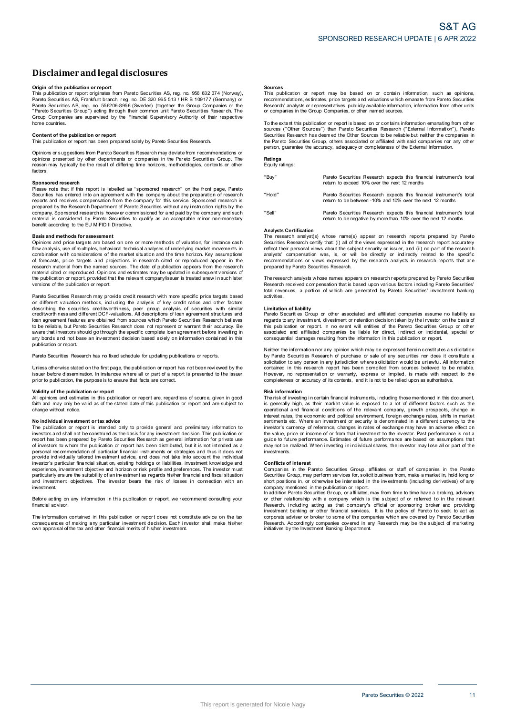# **Disclaimerandlegal disclosures Disclaimer and legal disclosures<br>Origin of the publication or report<br>This publication or report originates from Pareto Securities AS, reg. no. 956 632 374 (Norway),**

**DISCIAIMET AND LEGAL DISCIOSUTES**<br>Prigin of the publication or report<br>This publication or report orginates from Pareto Securities AS, reg. no. 956 632 374 (Norway)<br>Pareto Securities AS, Frankfurt branch, reg. no. DE 320 9 Pareto Securities AB, reg. no. 556206-8956 (Sweden) (together the Group Companies or the **Origin of the publication or report**<br>This publication or report originates from Pareto Securities AS, reg. no. 956 632 374 (Norway)<br>Pareto Securities AS, Frankfurt branch, reg. no. DE 320 965 513 / HR B 109177 (Germany) o home countries. **Content of the publication or report**<br> **Content of the publication or report**<br> **Content of the publication or report**<br> **Content of the publication or report**<br> **This publication or report**<br> **Content of the publication or r** 

Content of the publication or report<br>This publication or report has been prepared solely by Pareto Securities Research.<br>Opinions or suggestions from Pareto Securities Research may deviate from recommendations or Content of the publication or report<br>This publication or report has been prepared solely by Pareto Securities Research.<br>Opinions or suggestions from Pareto Securities Research may deviate from recommendations or<br>periodions factors. Please nay typically be the result of differing time horizons, methodologies, contexts or other<br>factors.<br>**Sponsored research**<br>Please note that if this report is labelled as "sponsored research" on the front page, Pareto<br>Se

**Sponsored research**<br>Please note that if this report is labelled as "sponsored research" on the front page, Pareto Factors.<br>Sponsored research<br>Please note that if this report is labelled as "sponsored research" on the front page, Pareto<br>Securities has entered into an agreement with the company about the preparation of research<br>prepared prepared by the Research Department of Pareto Securities without any instruction rights by the company. Sponsored research is however commissioned for and paid by the company and such material is considered by Pareto Secur

#### **Basis and methods for assessment**

Configure that is considered by Pareto Securities to qualify as an acceptable minor non-monetary<br>benefit according to the EU MiFID II Directive.<br>Basis and methods for assessment<br>Copinions and price targets are based on one research material from the named sources. The date of publication appears from the research Finance and the publications of the market situation and the time horizon. Key assumptions combination with considerations of the market situation and the time horizon. Key assumptions of ofroecasts, price targets and proj versions of the publication or report. material cited or reproduced. Opinions and estimates may be updated in subsequent versions of the publication or report, provided that the relevant company/issuer is treated anew in such later versions of the publication o

Pareto Securities Research may provide credit research with more specific price targets based Persions of the publication or report.<br>Pareto Securities Research may provide credit research with more specific price targets based<br>on different valuation methods, including the analysis of key credit ratios and other fac on different valuation methods, including the analysis of key credit ratios and other factors<br>describing the securities creditworthiness, peer group analysis of securities with similar<br>creditworthiness and different DCF-va publication or report.

Pareto Securities Research has no fixed schedule for updating publications or reports.

any but also are not because an investment decision based body on information or reports.<br>Pareto Securities Research has no fixed schedule for updating publications or reports.<br>Unless otherwise stated on the first page, th Unless otherwise stated on the first page, the publication or report has not been reviewed by the<br>
pusies the fore dissemination. In instances where all or part of a report is presented to the issuer<br> **propertion**<br>
All opi

Faith and may only be valid as of the publication or report<br>All opinions and estimates in this publication or report are, regardless of source, given in good<br>faith and may only be valid as of the stated date of this public change without notice.

**No individual investment or tax advice**<br>The publication or report is intended only to provide general and preliminary information to No individual investment or tax advices<br>Taith and may only be valid as of the stated date of this publication or report and are subject to<br>change without notice.<br>The publication or report is intended only to provide genera For the properties of investors to whom the publication or report has been distributed, but it is not intended as a personal recommendation of particular financial instruments or strategies and thus it does not provide ind investment. Separation, in connect or position of the brighting particularly ensure the suitability of an investment as regards his/her financial and fiscal situation and investment objectives. The investor bears the risk of losses in

financial advisor. Before acting on any information in this publication or report, we recommend consulting your<br>financial advisor.<br>The information contained in this publication or report does not constitute advice on the tax

Before acting on any information in this publication or report, we recommend consulting your<br>financial advisor.<br>Consequences of making any particular investment decision. Each investor shall make his/her<br>consequences of ma

#### **Sources**

**Sources**<br>This publication or report may be based on or contain information, such as opinions,<br>recommendations, estimates, price targets and valuations which emanate from Pareto Securities<br>Research' analysts or representat **Sources**<br>This publication or report may be based on or contain<br>recommendations, estimates, price targets and valuations which<br>Research' analysts or representatives, publicly available informa<br>or companies in the Group Com The extent this publication or report is based on or contains which emanate from Pareto Securities<br>Research' analysts or representatives, publicly available information, information from other units<br>or companies in the Gro

Securities Res earch the Group Companies, or other named sources.<br>To the extent this publication or report is based on or contains information emanating from other<br>sources ("Other Sources") than Pareto Securities Research person, guarantee the accuracy, adequacy or completeness of the External Information.

## **Ratings** Equity ratings:

"Buy" Pareto Securities Research expects this financial instrument's total return to exceed 10% over the next 12 months "Hold" Pareto Securities Research expects this financial instrument's total Pareto Securities Research expects this financial instrume<br>return to exceed 10% over the next 12 months<br>Pareto Securities Research expects this financial instrume<br>return to be between -10% and 10% over the next 12 months "Sell" Pareto Securities Research expects this financial instrument's total Pareto Securities Research expects this financial instrument's<br>return to be between -10% and 10% over the next 12 months<br>Pareto Securities Research expects this financial instrument's<br>return to be negative by more than 10%

### **Analysts Certification**

Analysts Settmeation<br>The research analyst(s) whose name(s) appear on research reports prepared by Pareto Securities Research certify that: (i) all of the views expressed in the research report accurately reflect their personal views about the subject security or issuer, and (ii) no part of the research Analysts Certification<br>The research analyst(s) whose name(s) appear on research reports prepared by Pareto<br>Securities Research certify that (i) all of the views expressed in the research report accurately<br>reflect their per The research analysts whose names appears on research analysts in research reports that are prepared by Pareto Securities Research.<br>The research received compensation that is based upon various factors including Pareto Sec

prepared by Pareto Securities Research.<br>The research analysts whose names appears on research reports prepared by Pareto Securities'<br>Research received compensation that is based upon various factors including Pareto Securi activities. Research received compensation that is based upon various factors including Pareto Securities'<br>
total revenues, a portion of which are generated by Pareto Securities' investment banking<br> **activities.**<br> **Limitation of liabi** 

divities.<br>
Limitation of liability<br>
Pareto Securities Group or other associated and affiliated companies assume no liability as<br>
Pareto Securities Group or other associated and affiliated companies assume no liability as<br> Neither the information or report. In no event will entities of the Pareto Securities Group or other<br>associated and affiliated companies be liable for direct, indirect or incidental, special or<br>consequential damages result

associated and affiliated companies be liable for direct, indirect or incidental, special or<br>associated and affiliated companies be liable for direct, indirect or incidental, special or<br>consequential damages resulting from However, no representation or warranty, express or implied, is made with respect to the completeness or accuracy of its contents, and it is not to be relied upon as authoritative.<br> **Risk information**<br>
The risk of investing

#### **Risk information**

The risk of investing in certain financial instruments, including those mentioned in this document, operational and financial conditions of the relevant company, growth prospects, change in **Risk information**<br>The risk of investing in certain financial instruments, including those mentioned in this document.<br>Is generally high, as their market value is exposed to a lot of different factors such as the<br>operation guide to future performance. Estimates of future performance are based on assumptions that marks the content and publication of security is denominated in a different currency to the investor's currency of reference, changes in rates of exchange may have an adverse effect on the value, price or income of or from investments. **Conflicts of** the value, by the contrary of be realized.<br> **Conflicts of interest**<br> **Conflicts of interest**<br> **Companies** in the P

given of the realized. When investing in individual shares, the investor may lose all or part of the<br>investments.<br>**Conflicts of interest**<br>Companies in the Pareto Securities Group, affiliates or staff of companies in the Pa

Securities Group, may perform services for, solicit business from, make a market in, hold long or<br>Securities Group, may perform services for, solicit business from, make a market in, hold long or<br>short positions in, or oth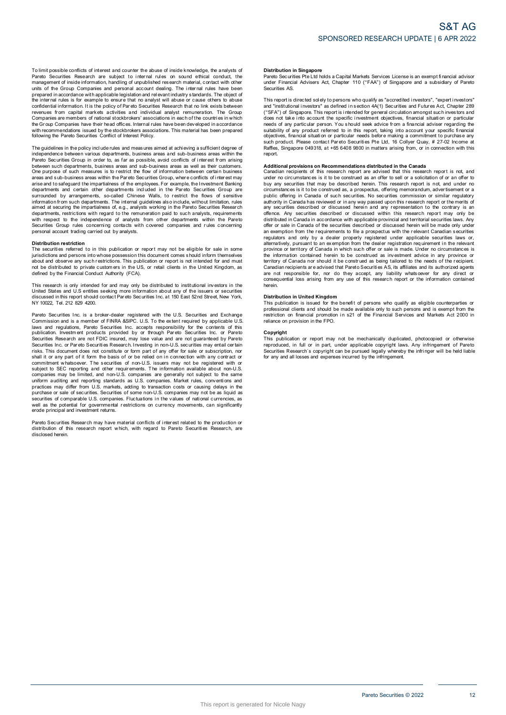To limit possible conflicts of interest and counter the abuse of inside knowledge, the analysts of<br>Pareto Securities Research are subject to internal rules on sound ethical conduct, the<br>management of inside information, ha To limit possible conflicts of interest and counter the abuse of inside knowledge, the analysts of Pareto Securities Research are subject to internal rules on sound ethical conduct, the management of inside information, ha revenues from capital markets activities and individual analyst remuneration. The Group and or the cross conditional and performation and performation and relevant industry standards. The object of<br>the internal rules is for example to ensure that no analyst will abuse or cause others to abuse<br>confidential inf following the Pareto Securities Conflict of Interest Policy. The Group Companies have their head offices. Internal rules have been developed in accordance<br>with recommendations issued by the stockbrokers associations. This material has been prepared<br>following the Pareto Securities Co

independence between various departments, business areas and sub-business areas within the<br>Pareto Securities Group in order to, as far as possible, avoid conflicts of interest from arising Following the Pareto Securities Conflict of Interest Policy.<br>The guidelines in the policy include rules and measures aimed at achieving a sufficient degree of<br>independence between various departments, business areas and su between such departments, business areas and sub-business areas as well as their customers. The guidelines in the policy include rules and measures aimed at achieving a sufficient degree of<br>independence between various departments, business areas and sub-business areas within the<br>Pareto Securities Group in order Done purpose of such measures is to restrict the flow of information between certain business<br>areas and sub-business areas is to restrict the flow of information between certain business<br>areas and to safeguard the impartia with respect to the independence of analysts from other departments within the Pareto Securities Group rules Group rules Concerning in the Carrier of the concerning in the Carrier of the internal guidelines also include, without limitation, rules aimed at securiting the impartialness of, e.g., analysts work Securities Group rules concerning contacts with covered companies and rules concerning personal account trading carried out by analysts.

#### **Distribution restriction**

personal account trading carried out by analysts.<br>
Distribution restriction<br>
The securities referred to in this publication or report may not be eligible for sale in some<br>
purisdictions and persons into whose possession th This research is only intended for and must be distributed to private customers. This publication or report is not intended for and must<br>not be distributed to private customers in the US, or retail clients in the United Ki

Note that the instant of the mandel of the state of the state of the state in the state and the metal should contact Authority (FCA).<br>This research is only intended for and may only be distributed to institutional investor Pareto Securities Inc. is a broker-dealer registered with the U.S. Securities inc. in the states and U.S entities seking more information about any of the issuers or securities discussed in this report should contact Paret

of also used in this report should contact Pareto Securities Inc. at 150 East 52nd Street, New York, NY 10022, Tel. 212 829 4200.<br>NY 10022, Tel. 212 829 4200.<br>Commission and is a member of FINRA &SIPC. U.S. To the extent r Pareto Securities Inc. is a broker-dealer registered with the U.S. Securities and Exchange<br>Commission and is a member of FINRA &SIPC. U.S. To the extent required by applicable U.S.<br>laws and regulations, Pareto Securities I Securities. Research are not FDIC insured, may lose value and are not guaranteed by Pareto<br>Securities Research are not FDIC insured, may lose value and are not guaranteed by Pareto<br>Securities Inc. or Pareto Securities Rese Securities Research are not FDIC insured, may lose value and are not guaranteed by Pareto<br>Securities Research are not FDIC insured, may lose value and are not guaranteed by Pareto<br>Securities Inc. or Pareto Securities Resea communient windoover. The securities The information available about not D.S.<br>subject to SEC reporting and other requirements. The information available about non-U.S.<br>companies may be limited, and non-U.S. companies are g extractive of the potential for governmental restrictions on currency movements, can significantly well as the potential for governmental restrictions on currency movements, can significantly erode principal and investment Pareto Securities of comparable U.S. comparies. Fluctuations in the values of rational currencies, as<br>well as the potential for governmental restrictions on currency movements, can significantly<br>erode principal and investm

disclosed herein.

### **Distribution in Singapore**

Distribution in Singapore<br>Pareto Securities Pte Ltd holds a Capital Markets Services License is an exempt financial advisor<br>under Financial Advisers Act, Chapter 110 ("FAA") of Singapore and a subsidiary of Pareto under Financial Advisers Act, Chapter 110 ("FAA") of Singapore and a subsidiary of Pareto Securities AS. Pareto Securities Pte Ltd holds a Capital Markets Services License is an exempt financial advisor<br>under Financial Advisers Act, Chapter 110 ("FAA") of Singapore and a subsidiary of Pareto<br>Securities AS.<br>This report is dire

ration contains and a subsidiary of Parent uncertained solutions and a subsidiary of Parent<br>securities AS.<br>This report is directed solely to persons who qualify as "accredited investors", "expert investors"<br>and "institutio and "institutional investors" as defined in section 4A(1) Securities and Futures Act, Chapter 289<br>("SFA") of Singapore. This report is intended for general circulation amongst such investors and<br>("SFA") of Singapore. This Raffles, Singapore 049318, at +65 6408 9800 in matters arising from, or in connection with this<br>Renort.

such product. Please contact Pareto Securities Pte Ltd, 16 Collyer Quay, # 27-02 Income at<br>such product. Please contact Pareto Securities Pte Ltd, 16 Collyer Quay, # 27-02 Income at<br>Raffles, Singapore 049318, at +65 6408 9 Canadian recipients of this research report are advised that this research report is not, and<br>canadian recipients of this research report are advised that this research report is not, and<br>under no circumstances is it to be public offering in Canada of such securities. No securities commission or similar regulatory<br>authority in Canada has reviewed or in any way passed upon this research report or the merits of<br>any securities described or disc offence. Any securities described or discussed within this research report may only be distributed in Canada in accordance with applicable provincial and territorial securities laws. Any offer or sale in Canada of the secu offence. Any securities described or discussed within this research report may only be distributed in Canada in accordance with applicable provincial and territorial securities laws. Any offer or sale in Canada of the secu Canadian recipients are advised that Pareto Securities and its and its alternatively, pursuant to an exemption from the dealer registration requirement in the relevant<br>province or territory of Canada in which such offer or consequential loss arising from any use of this research report or the information contained<br>herein.<br>**Distribution in United Kingdom**<br>This publication is issued for the benefit of persons who qualify as eligible counterpar herein.

**Distribution in United Kingdom** professional clients and should be made available only to such persons and is exempt from the metriction on financial promotion in s21 of the Financial Services and Markets Act 2000 in reliance on provision in the FPO. This publication on financial promotion in s21 of the Financial Services and Markets Act 2000 in<br>This publication or report may not be mechanically duplicated, photocopied or otherwise<br>This publication or report may not be

Copyright<br>This publication or report may not be mechanically duplicated, photocopied or otherwise reliance on provision in the FPO.<br> **Copyright**<br>
This publication or report may not be mechanically duplicated, photocopied or otherwise<br>
reproduced, in full or in part, under applicable copyright laws. Any infringement of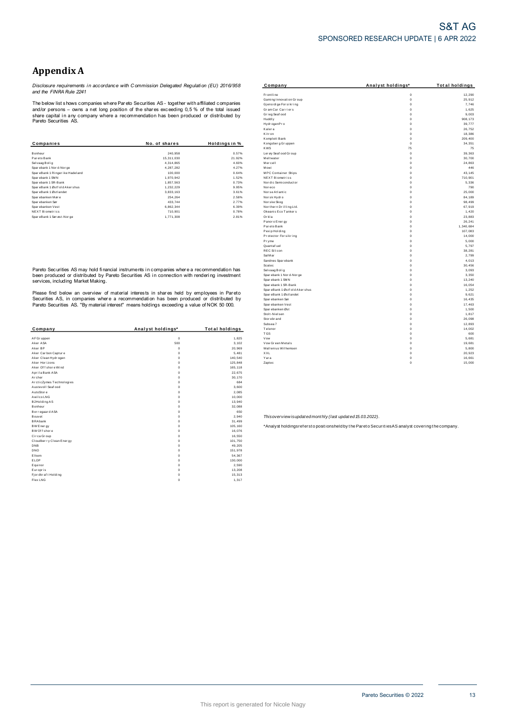# **Appendix A**

*Disclosure requirements i n accordance with C ommission Delegated Regulati on (EU) 2016/958 and the FINRA Rule 2241*

|                                 |               |               | Komplett Bank          | 0           | 209,400 |
|---------------------------------|---------------|---------------|------------------------|-------------|---------|
| Companies                       | No. of shares | Holdinas in % | Kongsberg Gruppen      | 0           | 34,35   |
|                                 |               |               | <b>KWS</b>             | 75          | 75      |
| Bonheur                         | 240,958       | 0.57%         | Ler øy Seaf ood Gr oup | $\mathbf 0$ | 39,36   |
| Pareto Bank                     | 15,311,030    | 21.92%        | Meltwater              | $^{\circ}$  | 30,70   |
| Selvaag Bolig                   | 4,314,865     | 4.60%         | Mercell                | $^{\circ}$  | 24,86   |
| Sparebank 1 Nor d-Nor ge        | 4,287,282     | 4.27%         | Mowi                   | $\mathbf 0$ | 44      |
| SpareBank 1 Ringer ike Hadeland | 100,000       | 0.64%         | MPC Container Ships    | $^{\circ}$  | 43,14   |
| Sparebank 1 SMN                 | 1,970,942     | 1.52%         | NEXT Biometrics        | $^{\circ}$  | 710,90  |
| Sparebank 1 SR-Bank             | 1,857,563     | 0.73%         | Nor dic Semiconductor  | $^{\circ}$  | 5,33    |
| SpareBank 1 Østf old Akershus   | 1,232,229     | 9.95%         | Noreco                 | $\Omega$    | 79      |
| SpareBank 1 Østlandet           | 3,833,163     | 3.61%         | Norse Atlantic         |             | 25,000  |
| Sparebanken Møre                | 254,264       | 2.58%         | Norsk Hydro            | $\mathbf 0$ | 84,189  |
| Spar ebanken Sør                | 433,744       | 2.77%         | Nor ske Skog           | $\mathbf 0$ | 98,49   |
| Spar ebanken Vest               | 6,862,344     | 6.39%         | Northern Drilling Ltd. | $\mathbf 0$ | 67,919  |
| <b>NEXT Biometrics</b>          | 710.901       | 0.78%         | Okeanis Eco Tankers    | $\mathbf 0$ | 1,42    |
| SpareBank 1 Sørøst-Norge        | 1,771,308     | 2.81%         | Orkla                  | $\mathbf 0$ | 23,88   |

| Company                  | Analyst holdings* | <b>Total holdings</b> | Telenor             | $\Omega$                                                                                          |
|--------------------------|-------------------|-----------------------|---------------------|---------------------------------------------------------------------------------------------------|
|                          |                   |                       | <b>TGS</b>          | $\Omega$                                                                                          |
| AF Gr uppen              | $\mathbf 0$       | 1,825                 | Vow                 | $\Omega$                                                                                          |
| Aker ASA                 | 500               | 3,102                 | Vow Green Metals    | $\Omega$                                                                                          |
| Aker BP                  | $\Omega$          | 20,969                | Wallenius Wilhemsen | $\Omega$                                                                                          |
| Aker Carbon Capture      | $\Omega$          | 5,481                 | XXL                 | $\Omega$                                                                                          |
| Aker Clean Hydrogen      | $\Omega$          | 140,540               | Yara                | $^{\circ}$                                                                                        |
| Aker Horizons            |                   | 125,848               | Zaptec              | 0                                                                                                 |
| Aker Of f shore Wind     | n                 | 165,118               |                     |                                                                                                   |
| Aprila Bank ASA          | n                 | 22,675                |                     |                                                                                                   |
| Archer                   |                   | 30,170                |                     |                                                                                                   |
| ArcticZymes Technologies |                   | 684                   |                     |                                                                                                   |
| Austevoll Seaf ood       |                   | 3,600                 |                     |                                                                                                   |
| AutoStore                |                   | 2,085                 |                     |                                                                                                   |
| Awilco LNG               |                   | 10,000                |                     |                                                                                                   |
| B2Holding AS             |                   | 13,940                |                     |                                                                                                   |
| Bonheur                  |                   | 32,088                |                     |                                                                                                   |
|                          |                   | 650                   |                     |                                                                                                   |
| Borregaard ASA           |                   |                       |                     |                                                                                                   |
| Bouvet                   |                   | 2,940                 |                     | Thisoverview isupdated monthly (last updated 15.03.2022).                                         |
| <b>BRAbank</b>           |                   | 31,499                |                     |                                                                                                   |
| BW Energy                |                   | 105,160               |                     | *Analyst holdingsrefersto positionsheld by the Pareto Securities AS analyst covering the company. |
| BW Of f shore            |                   | 16,076                |                     |                                                                                                   |
| Circa Group              |                   | 16,550                |                     |                                                                                                   |
| Cloudber ry Clean Energy |                   | 101,750               |                     |                                                                                                   |
| DNB                      |                   | 49,205                |                     |                                                                                                   |
| DNO                      |                   | 151,978               |                     |                                                                                                   |
| Elkem                    |                   | 54,367                |                     |                                                                                                   |
| ELOP                     |                   | 130,000               |                     |                                                                                                   |
| Equinor                  |                   | 2,590                 |                     |                                                                                                   |
| Europris                 |                   | 13,208                |                     |                                                                                                   |
| Fjordkraft Holding       | n                 | 15,313                |                     |                                                                                                   |
|                          |                   |                       |                     |                                                                                                   |

| Appendix A                                           |                                                                                                |                    |                                               |                         |                       |
|------------------------------------------------------|------------------------------------------------------------------------------------------------|--------------------|-----------------------------------------------|-------------------------|-----------------------|
|                                                      | Disclosure requirements in accordance with Commission Delegated Regulation (EU) 2016/958       |                    | Company                                       | Analyst holdings*       | <b>Total holdings</b> |
| and the FINRA Rule 2241                              |                                                                                                |                    | Frontline<br>Gaming Innovation Group          | $\mathbf 0$<br>$\Omega$ | 12,290<br>25,912      |
|                                                      | The below list shows companies where Pareto Securities AS - together with affiliated companies |                    | Gjensidige For sikring                        | $\Omega$                | 7,746                 |
|                                                      | and/or persons – owns a net long position of the shares exceeding 0,5 % of the total issued    |                    | Gram Car Carriers<br>Grieg Seaf ood           | $\Omega$<br>$\Omega$    | 1,625<br>9,003        |
|                                                      | share capital in any company where a recommendation has been produced or distributed by        |                    | Huddly                                        | $\circ$                 | 908, 173              |
| Pareto Securities AS.                                |                                                                                                |                    | Hydr ogenPr o                                 | $\Omega$                | 39,777                |
|                                                      |                                                                                                |                    | Kalera                                        | $\circ$                 | 26,752                |
|                                                      |                                                                                                |                    | Kitr on                                       | $\circ$                 | 18,386                |
|                                                      |                                                                                                |                    | Komplett Bank                                 | $\Omega$<br>$\Omega$    | 209,400               |
| <b>Companies</b>                                     | No. of shares                                                                                  | Holdings in %      | Kongsberg Gruppen<br><b>KWS</b>               | 75                      | 34,351<br>75          |
| Bonheur                                              | 240,958                                                                                        | 0.57%              | Ler øy Seaf ood Gr oup                        | $\circ$                 | 39,363                |
| Pareto Bank                                          | 15,311,030                                                                                     | 21.92%             | Meltwater                                     | $\circ$                 | 30,700                |
| Sel vaag Bolig                                       | 4,314,865                                                                                      | 4.60%              | Mercell                                       | $\Omega$                | 24,863                |
| Sparebank 1 Nor d-Nor ge                             | 4,287,282                                                                                      | 4.27%              | Mowi                                          | $\Omega$                | 446                   |
| SpareBank 1 Ringer ike Hadeland                      | 100,000                                                                                        | 0.64%              | MPC Container Ships                           | $\Omega$                | 43,145                |
| Sparebank 1 SMN                                      | 1,970,942                                                                                      | 1.52%              | NEXT Biometrics                               | $\Omega$                | 710,901               |
| Sparebank 1 SR-Bank<br>SpareBank 1 Østf old Akershus | 1,857,563<br>1,232,229                                                                         | 0.73%<br>9.95%     | Nor dic Semi conductor<br>Noreco              | $\circ$<br>$\Omega$     | 5,336<br>790          |
| SpareBank 1 Østlandet                                | 3,833,163                                                                                      | 3.61%              | Norse Atlantic                                | $\Omega$                | 25,000                |
| Sparebanken Møre                                     | 254,264                                                                                        | 2.58%              | Norsk Hydro                                   | $\circ$                 | 84,189                |
| Spar ebanken Sør                                     | 433,744                                                                                        | 2.77%              | Nor ske Skog                                  | $\Omega$                | 98,499                |
| Sparebanken Vest                                     | 6,862,344                                                                                      | 6.39%              | Nor thern Drilling Ltd.                       | $\circ$                 | 67,919                |
| NEXT Biometrics                                      | 710,901                                                                                        | 0.78%              | Okeanis Eco Tankers                           | $\Omega$                | 1,420                 |
| SpareBank 1 Sørøst-Norge                             | 1,771,308                                                                                      | 2.81%              | Orkla                                         | $\mathbf 0$             | 23,883                |
|                                                      |                                                                                                |                    | Panor o Ener gy                               | $\circ$                 | 26.241                |
|                                                      |                                                                                                |                    | Par eto Bank                                  | $\circ$<br>$\mathbf 0$  | 1,340,684<br>107,083  |
|                                                      |                                                                                                |                    | Pexip Holding<br>Protector Forsikring         | $\Omega$                | 14,000                |
|                                                      |                                                                                                |                    | Pryme                                         | $\Omega$                | 5,000                 |
|                                                      |                                                                                                |                    | Quantaf uel                                   | $\Omega$                | 5,797                 |
|                                                      |                                                                                                |                    | <b>REC Silicon</b>                            | $\Omega$                | 38,281                |
|                                                      |                                                                                                |                    | Sal Mar                                       | $\mathbf 0$             | 2,799                 |
|                                                      |                                                                                                |                    | Sandnes Spar ebank                            | $\Omega$                | 4,013                 |
|                                                      |                                                                                                |                    | Scatec                                        | $\Omega$                | 30,456                |
|                                                      | Pareto Securities AS may hold financial instruments in companies where a recommendation has    |                    | Selvaag Bolig                                 | $\Omega$<br>$\Omega$    | 3,093                 |
|                                                      | been produced or distributed by Pareto Securities AS in connection with rendering investment   |                    | Spar ebank 1 Nor d-Nor ge<br>Spar ebank 1 SMN | $\mathbf 0$             | 3,350<br>13,240       |
| services, including Market Making.                   |                                                                                                |                    | Spar ebank 1 SR-Bank                          | $\Omega$                | 16,054                |
|                                                      |                                                                                                |                    | SpareBank 1 Østf old Aker shus                | $\mathbf 0$             | 1,252                 |
|                                                      | Please find below an overview of material interests in shares held by employees in Pareto      |                    | SpareBank 1 Østl andet                        | $\mathbf 0$             | 9,621                 |
|                                                      | Securities AS, in companies where a recommendation has been produced or distributed by         |                    | Spar ebanken Sør                              | $\mathbf 0$             | 16,435                |
|                                                      | Pareto Securities AS. "By material interest" means holdings exceeding a value of NOK 50 000.   |                    | Spar ebanken Vest                             | $\Omega$                | 17,463                |
|                                                      |                                                                                                |                    | Spar ebanken Øst                              | $\Omega$                | 1,500                 |
|                                                      |                                                                                                |                    | Stolt-Nielsen<br>Stor ebr and                 | $\Omega$<br>$\mathbf 0$ | 1,817<br>26,098       |
|                                                      |                                                                                                |                    | Subsea 7                                      | $\Omega$                | 12,893                |
| Company                                              | Analyst holdings*                                                                              | Total holdings     | Telenor                                       | $\Omega$                | 14,002                |
|                                                      |                                                                                                |                    | <b>TGS</b>                                    | $\Omega$                | 600                   |
| AF Gruppen                                           | $\overline{0}$                                                                                 | 1,825              | Vow                                           | $\Omega$                | 5,681                 |
| Aker ASA                                             | 500                                                                                            | 3,102              | Vow Green Metals                              | $\mathbf 0$             | 19,681                |
| Aker BP                                              | $^{\circ}$                                                                                     | 20,969             | Wallenius Wilhemsen                           | $\mathbf 0$             | 5,800                 |
| Aker Carbon Capture                                  | $\mathbf 0$                                                                                    | 5,481              | XXL                                           | $\Omega$<br>$\Omega$    | 20,923                |
| Aker Clean Hydrogen<br>Aker Horizons                 | $\mathbf 0$<br>$\Omega$                                                                        | 140,540<br>125,848 | Yara<br>Zaptec                                | $\Omega$                | 16,661<br>15,000      |
|                                                      |                                                                                                |                    |                                               |                         |                       |